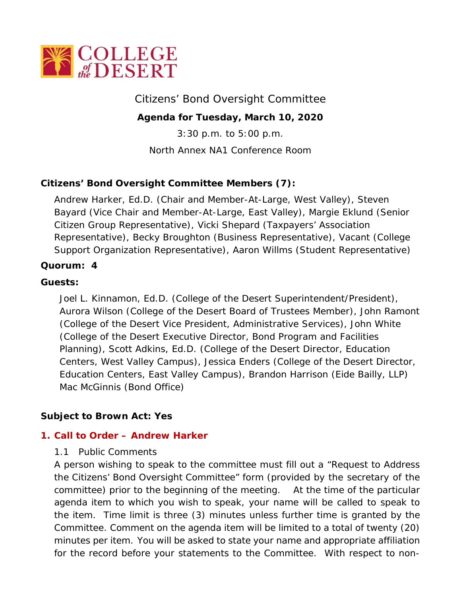

Citizens' Bond Oversight Committee

**Agenda for Tuesday, March 10, 2020**

3:30 p.m. to 5:00 p.m.

North Annex NA1 Conference Room

# **Citizens' Bond Oversight Committee Members (7):**

Andrew Harker, Ed.D. (Chair and Member-At-Large, West Valley), Steven Bayard (Vice Chair and Member-At-Large, East Valley), Margie Eklund (Senior Citizen Group Representative), Vicki Shepard (Taxpayers' Association Representative), Becky Broughton (Business Representative), Vacant (College Support Organization Representative), Aaron Willms (Student Representative)

### **Quorum: 4**

### **Guests:**

Joel L. Kinnamon, Ed.D. (College of the Desert Superintendent/President), Aurora Wilson (College of the Desert Board of Trustees Member), John Ramont (College of the Desert Vice President, Administrative Services), John White (College of the Desert Executive Director, Bond Program and Facilities Planning), Scott Adkins, Ed.D. (College of the Desert Director, Education Centers, West Valley Campus), Jessica Enders (College of the Desert Director, Education Centers, East Valley Campus), Brandon Harrison (Eide Bailly, LLP) Mac McGinnis (Bond Office)

## **Subject to Brown Act: Yes**

### **1. Call to Order – Andrew Harker**

### 1.1 Public Comments

A person wishing to speak to the committee must fill out a "Request to Address the Citizens' Bond Oversight Committee" form (provided by the secretary of the committee) prior to the beginning of the meeting. At the time of the particular agenda item to which you wish to speak, your name will be called to speak to the item. Time limit is three (3) minutes unless further time is granted by the Committee. Comment on the agenda item will be limited to a total of twenty (20) minutes per item. You will be asked to state your name and appropriate affiliation for the record before your statements to the Committee. With respect to non